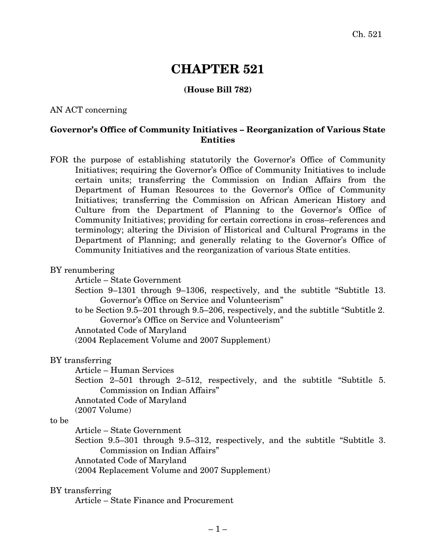# **CHAPTER 521**

## **(House Bill 782)**

## AN ACT concerning

## **Governor's Office of Community Initiatives – Reorganization of Various State Entities**

FOR the purpose of establishing statutorily the Governor's Office of Community Initiatives; requiring the Governor's Office of Community Initiatives to include certain units; transferring the Commission on Indian Affairs from the Department of Human Resources to the Governor's Office of Community Initiatives; transferring the Commission on African American History and Culture from the Department of Planning to the Governor's Office of Community Initiatives; providing for certain corrections in cross–references and terminology; altering the Division of Historical and Cultural Programs in the Department of Planning; and generally relating to the Governor's Office of Community Initiatives and the reorganization of various State entities.

#### BY renumbering

Article – State Government

- Section 9–1301 through 9–1306, respectively, and the subtitle "Subtitle 13. Governor's Office on Service and Volunteerism"
- to be Section 9.5–201 through 9.5–206, respectively, and the subtitle "Subtitle 2. Governor's Office on Service and Volunteerism"

Annotated Code of Maryland

(2004 Replacement Volume and 2007 Supplement)

## BY transferring

Article – Human Services

Section 2–501 through 2–512, respectively, and the subtitle "Subtitle 5. Commission on Indian Affairs"

Annotated Code of Maryland

(2007 Volume)

## to be

Article – State Government

Section 9.5–301 through 9.5–312, respectively, and the subtitle "Subtitle 3. Commission on Indian Affairs"

Annotated Code of Maryland

(2004 Replacement Volume and 2007 Supplement)

#### BY transferring

Article – State Finance and Procurement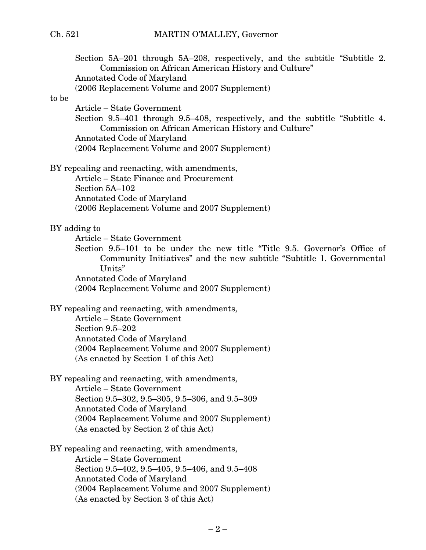# Ch. 521 MARTIN O'MALLEY, Governor

| to be | Section 5A–201 through 5A–208, respectively, and the subtitle "Subtitle 2.<br>Commission on African American History and Culture"<br><b>Annotated Code of Maryland</b><br>(2006 Replacement Volume and 2007 Supplement) |
|-------|-------------------------------------------------------------------------------------------------------------------------------------------------------------------------------------------------------------------------|
|       | Article – State Government<br>Section 9.5–401 through 9.5–408, respectively, and the subtitle "Subtitle 4.<br>Commission on African American History and Culture"<br><b>Annotated Code of Maryland</b>                  |
|       | (2004 Replacement Volume and 2007 Supplement)                                                                                                                                                                           |
|       | BY repealing and reenacting, with amendments,<br>Article – State Finance and Procurement<br>Section 5A-102                                                                                                              |
|       | <b>Annotated Code of Maryland</b><br>(2006 Replacement Volume and 2007 Supplement)                                                                                                                                      |
|       | BY adding to<br>Article – State Government<br>Section 9.5–101 to be under the new title "Title 9.5. Governor's Office of<br>Community Initiatives" and the new subtitle "Subtitle 1. Governmental                       |
|       | Units"<br><b>Annotated Code of Maryland</b><br>(2004 Replacement Volume and 2007 Supplement)                                                                                                                            |
|       | BY repealing and reenacting, with amendments,<br>Article – State Government<br>Section 9.5-202                                                                                                                          |
|       | <b>Annotated Code of Maryland</b><br>(2004 Replacement Volume and 2007 Supplement)<br>(As enacted by Section 1 of this Act)                                                                                             |
|       | BY repealing and reenacting, with amendments,<br>Article – State Government<br>Section 9.5-302, 9.5-305, 9.5-306, and 9.5-309<br><b>Annotated Code of Maryland</b>                                                      |
|       | (2004 Replacement Volume and 2007 Supplement)<br>(As enacted by Section 2 of this Act)                                                                                                                                  |
|       | BY repealing and reenacting, with amendments,                                                                                                                                                                           |
|       | Article – State Government<br>Section 9.5-402, 9.5-405, 9.5-406, and 9.5-408                                                                                                                                            |
|       | Annotated Code of Maryland                                                                                                                                                                                              |
|       | (2004 Replacement Volume and 2007 Supplement)<br>(As enacted by Section 3 of this Act)                                                                                                                                  |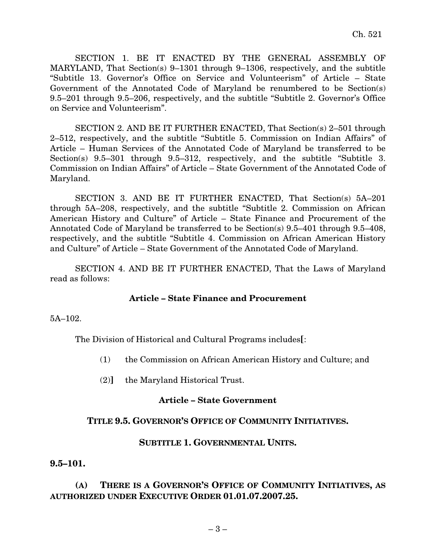SECTION 1. BE IT ENACTED BY THE GENERAL ASSEMBLY OF MARYLAND, That Section(s) 9–1301 through 9–1306, respectively, and the subtitle "Subtitle 13. Governor's Office on Service and Volunteerism" of Article – State Government of the Annotated Code of Maryland be renumbered to be Section(s) 9.5–201 through 9.5–206, respectively, and the subtitle "Subtitle 2. Governor's Office on Service and Volunteerism".

SECTION 2. AND BE IT FURTHER ENACTED, That Section(s) 2–501 through 2–512, respectively, and the subtitle "Subtitle 5. Commission on Indian Affairs" of Article – Human Services of the Annotated Code of Maryland be transferred to be Section(s) 9.5–301 through 9.5–312, respectively, and the subtitle "Subtitle 3. Commission on Indian Affairs" of Article – State Government of the Annotated Code of Maryland.

SECTION 3. AND BE IT FURTHER ENACTED, That Section(s) 5A–201 through 5A–208, respectively, and the subtitle "Subtitle 2. Commission on African American History and Culture" of Article – State Finance and Procurement of the Annotated Code of Maryland be transferred to be Section(s) 9.5–401 through 9.5–408, respectively, and the subtitle "Subtitle 4. Commission on African American History and Culture" of Article – State Government of the Annotated Code of Maryland.

SECTION 4. AND BE IT FURTHER ENACTED, That the Laws of Maryland read as follows:

## **Article – State Finance and Procurement**

5A–102.

The Division of Historical and Cultural Programs includes**[**:

- (1) the Commission on African American History and Culture; and
- (2)**]** the Maryland Historical Trust.

#### **Article – State Government**

## **TITLE 9.5. GOVERNOR'S OFFICE OF COMMUNITY INITIATIVES.**

#### **SUBTITLE 1. GOVERNMENTAL UNITS.**

#### **9.5–101.**

## **(A) THERE IS A GOVERNOR'S OFFICE OF COMMUNITY INITIATIVES, AS AUTHORIZED UNDER EXECUTIVE ORDER 01.01.07.2007.25.**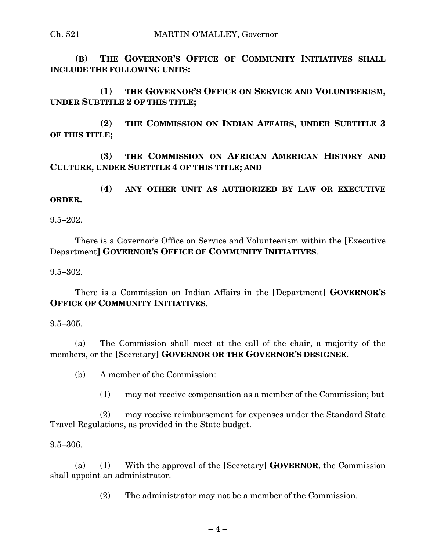## Ch. 521 MARTIN O'MALLEY, Governor

**(B) THE GOVERNOR'S OFFICE OF COMMUNITY INITIATIVES SHALL INCLUDE THE FOLLOWING UNITS:**

**(1) THE GOVERNOR'S OFFICE ON SERVICE AND VOLUNTEERISM, UNDER SUBTITLE 2 OF THIS TITLE;**

**(2) THE COMMISSION ON INDIAN AFFAIRS, UNDER SUBTITLE 3 OF THIS TITLE;**

**(3) THE COMMISSION ON AFRICAN AMERICAN HISTORY AND CULTURE, UNDER SUBTITLE 4 OF THIS TITLE; AND**

**(4) ANY OTHER UNIT AS AUTHORIZED BY LAW OR EXECUTIVE ORDER.**

 $9.5 - 202.$ 

There is a Governor's Office on Service and Volunteerism within the **[**Executive Department**] GOVERNOR'S OFFICE OF COMMUNITY INITIATIVES**.

9.5–302.

There is a Commission on Indian Affairs in the **[**Department**] GOVERNOR'S OFFICE OF COMMUNITY INITIATIVES**.

9.5–305.

(a) The Commission shall meet at the call of the chair, a majority of the members, or the **[**Secretary**] GOVERNOR OR THE GOVERNOR'S DESIGNEE**.

(b) A member of the Commission:

(1) may not receive compensation as a member of the Commission; but

(2) may receive reimbursement for expenses under the Standard State Travel Regulations, as provided in the State budget.

9.5–306.

(a) (1) With the approval of the **[**Secretary**] GOVERNOR**, the Commission shall appoint an administrator.

(2) The administrator may not be a member of the Commission.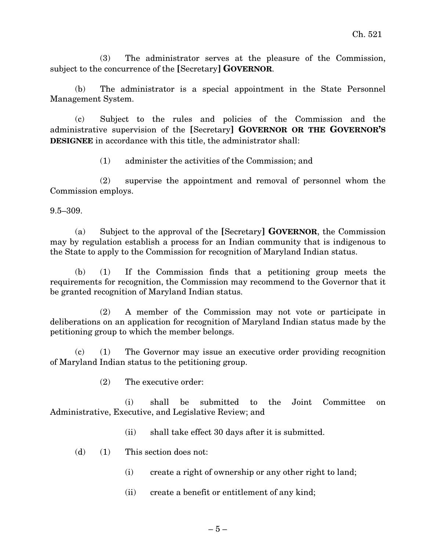(3) The administrator serves at the pleasure of the Commission, subject to the concurrence of the **[**Secretary**] GOVERNOR**.

(b) The administrator is a special appointment in the State Personnel Management System.

(c) Subject to the rules and policies of the Commission and the administrative supervision of the **[**Secretary**] GOVERNOR OR THE GOVERNOR'S DESIGNEE** in accordance with this title, the administrator shall:

(1) administer the activities of the Commission; and

(2) supervise the appointment and removal of personnel whom the Commission employs.

9.5–309.

(a) Subject to the approval of the **[**Secretary**] GOVERNOR**, the Commission may by regulation establish a process for an Indian community that is indigenous to the State to apply to the Commission for recognition of Maryland Indian status.

(b) (1) If the Commission finds that a petitioning group meets the requirements for recognition, the Commission may recommend to the Governor that it be granted recognition of Maryland Indian status.

(2) A member of the Commission may not vote or participate in deliberations on an application for recognition of Maryland Indian status made by the petitioning group to which the member belongs.

(c) (1) The Governor may issue an executive order providing recognition of Maryland Indian status to the petitioning group.

(2) The executive order:

(i) shall be submitted to the Joint Committee on Administrative, Executive, and Legislative Review; and

- (ii) shall take effect 30 days after it is submitted.
- (d) (1) This section does not:
	- (i) create a right of ownership or any other right to land;
	- (ii) create a benefit or entitlement of any kind;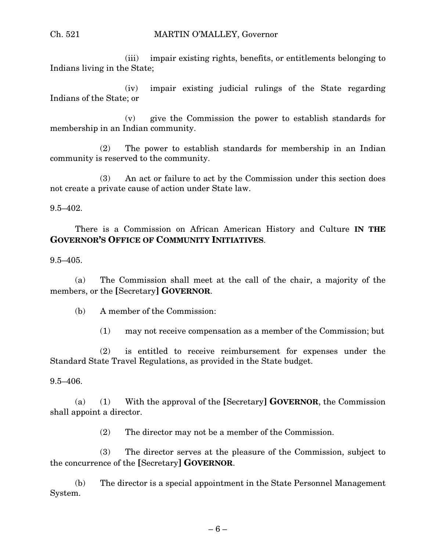## Ch. 521 MARTIN O'MALLEY, Governor

(iii) impair existing rights, benefits, or entitlements belonging to Indians living in the State;

(iv) impair existing judicial rulings of the State regarding Indians of the State; or

(v) give the Commission the power to establish standards for membership in an Indian community.

(2) The power to establish standards for membership in an Indian community is reserved to the community.

(3) An act or failure to act by the Commission under this section does not create a private cause of action under State law.

9.5–402.

There is a Commission on African American History and Culture **IN THE GOVERNOR'S OFFICE OF COMMUNITY INITIATIVES**.

9.5–405.

(a) The Commission shall meet at the call of the chair, a majority of the members, or the **[**Secretary**] GOVERNOR**.

(b) A member of the Commission:

(1) may not receive compensation as a member of the Commission; but

(2) is entitled to receive reimbursement for expenses under the Standard State Travel Regulations, as provided in the State budget.

9.5–406.

(a) (1) With the approval of the **[**Secretary**] GOVERNOR**, the Commission shall appoint a director.

(2) The director may not be a member of the Commission.

(3) The director serves at the pleasure of the Commission, subject to the concurrence of the **[**Secretary**] GOVERNOR**.

(b) The director is a special appointment in the State Personnel Management System.

 $-6-$